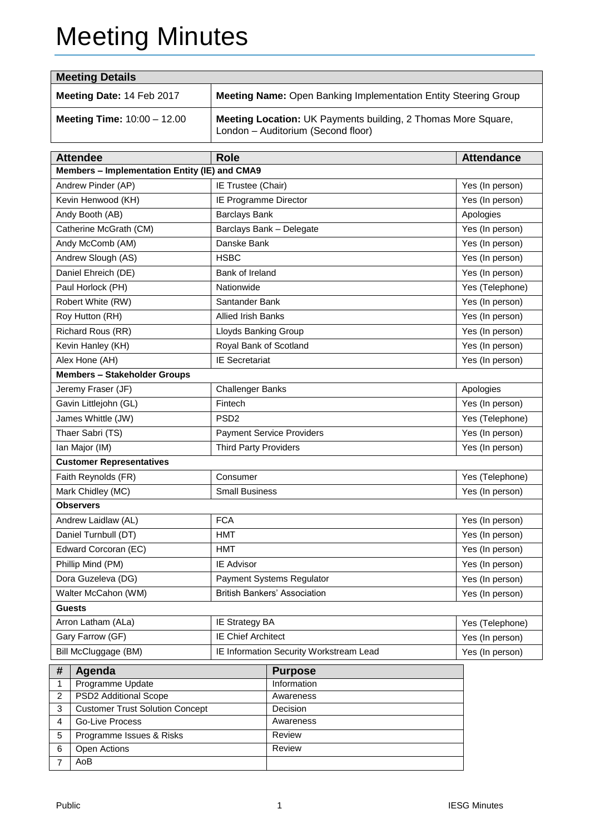# Meeting Minutes

| <b>Meeting Details</b>                                                        |                                                               |                                             |                                                                        |                   |  |  |  |  |
|-------------------------------------------------------------------------------|---------------------------------------------------------------|---------------------------------------------|------------------------------------------------------------------------|-------------------|--|--|--|--|
| Meeting Date: 14 Feb 2017                                                     |                                                               |                                             | <b>Meeting Name: Open Banking Implementation Entity Steering Group</b> |                   |  |  |  |  |
| Meeting Time: 10:00 - 12.00                                                   | Meeting Location: UK Payments building, 2 Thomas More Square, |                                             |                                                                        |                   |  |  |  |  |
|                                                                               | <b>Attendee</b>                                               | <b>Role</b>                                 |                                                                        | <b>Attendance</b> |  |  |  |  |
| Members - Implementation Entity (IE) and CMA9                                 |                                                               |                                             |                                                                        |                   |  |  |  |  |
|                                                                               | Andrew Pinder (AP)                                            | IE Trustee (Chair)                          |                                                                        | Yes (In person)   |  |  |  |  |
| Kevin Henwood (KH)                                                            |                                                               |                                             | IE Programme Director                                                  | Yes (In person)   |  |  |  |  |
| <b>Barclays Bank</b><br>Andy Booth (AB)                                       |                                                               |                                             |                                                                        | Apologies         |  |  |  |  |
| Catherine McGrath (CM)                                                        |                                                               |                                             | Barclays Bank - Delegate                                               | Yes (In person)   |  |  |  |  |
|                                                                               | Andy McComb (AM)                                              | Danske Bank                                 |                                                                        | Yes (In person)   |  |  |  |  |
|                                                                               | Andrew Slough (AS)                                            | <b>HSBC</b>                                 |                                                                        | Yes (In person)   |  |  |  |  |
|                                                                               | Daniel Ehreich (DE)                                           | Bank of Ireland                             |                                                                        | Yes (In person)   |  |  |  |  |
|                                                                               | Paul Horlock (PH)                                             | Nationwide                                  |                                                                        | Yes (Telephone)   |  |  |  |  |
|                                                                               | Robert White (RW)                                             | Santander Bank                              |                                                                        | Yes (In person)   |  |  |  |  |
|                                                                               | Roy Hutton (RH)                                               | <b>Allied Irish Banks</b>                   |                                                                        | Yes (In person)   |  |  |  |  |
|                                                                               | Richard Rous (RR)                                             | Lloyds Banking Group                        |                                                                        | Yes (In person)   |  |  |  |  |
|                                                                               | Kevin Hanley (KH)                                             | Royal Bank of Scotland                      |                                                                        | Yes (In person)   |  |  |  |  |
| Alex Hone (AH)                                                                |                                                               | <b>IE Secretariat</b>                       |                                                                        | Yes (In person)   |  |  |  |  |
| <b>Members - Stakeholder Groups</b>                                           |                                                               |                                             |                                                                        |                   |  |  |  |  |
| Jeremy Fraser (JF)                                                            |                                                               | <b>Challenger Banks</b>                     |                                                                        | Apologies         |  |  |  |  |
|                                                                               | Gavin Littlejohn (GL)                                         | Fintech                                     |                                                                        | Yes (In person)   |  |  |  |  |
| James Whittle (JW)                                                            |                                                               | PSD <sub>2</sub>                            |                                                                        | Yes (Telephone)   |  |  |  |  |
| Thaer Sabri (TS)                                                              |                                                               |                                             | <b>Payment Service Providers</b>                                       | Yes (In person)   |  |  |  |  |
| Ian Major (IM)                                                                |                                                               | <b>Third Party Providers</b>                |                                                                        | Yes (In person)   |  |  |  |  |
|                                                                               | <b>Customer Representatives</b>                               |                                             |                                                                        |                   |  |  |  |  |
| Faith Reynolds (FR)                                                           |                                                               | Consumer                                    |                                                                        | Yes (Telephone)   |  |  |  |  |
| Mark Chidley (MC)                                                             |                                                               | <b>Small Business</b>                       |                                                                        | Yes (In person)   |  |  |  |  |
|                                                                               | <b>Observers</b>                                              |                                             |                                                                        |                   |  |  |  |  |
| Andrew Laidlaw (AL)                                                           |                                                               | <b>FCA</b>                                  |                                                                        | Yes (In person)   |  |  |  |  |
| Daniel Turnbull (DT)                                                          |                                                               | <b>HMT</b>                                  |                                                                        | Yes (In person)   |  |  |  |  |
| Edward Corcoran (EC)                                                          |                                                               | <b>HMT</b>                                  |                                                                        | Yes (In person)   |  |  |  |  |
| Phillip Mind (PM)                                                             |                                                               | IE Advisor                                  |                                                                        | Yes (In person)   |  |  |  |  |
| Dora Guzeleva (DG)                                                            |                                                               | <b>Payment Systems Regulator</b>            |                                                                        | Yes (In person)   |  |  |  |  |
| <b>British Bankers' Association</b><br>Walter McCahon (WM)<br>Yes (In person) |                                                               |                                             |                                                                        |                   |  |  |  |  |
| <b>Guests</b>                                                                 |                                                               |                                             |                                                                        |                   |  |  |  |  |
| Arron Latham (ALa)                                                            |                                                               | IE Strategy BA<br><b>IE Chief Architect</b> |                                                                        | Yes (Telephone)   |  |  |  |  |
| Gary Farrow (GF)<br>Bill McCluggage (BM)                                      |                                                               | IE Information Security Workstream Lead     | Yes (In person)                                                        |                   |  |  |  |  |
|                                                                               |                                                               |                                             |                                                                        | Yes (In person)   |  |  |  |  |
| #                                                                             | Agenda                                                        |                                             | <b>Purpose</b>                                                         |                   |  |  |  |  |
| Programme Update<br>1<br>PSD2 Additional Scope<br>$\overline{c}$              |                                                               | Information                                 |                                                                        |                   |  |  |  |  |
| <b>Customer Trust Solution Concept</b><br>3                                   |                                                               | Awareness<br>Decision                       |                                                                        |                   |  |  |  |  |
| <b>Go-Live Process</b><br>4                                                   |                                                               | Awareness                                   |                                                                        |                   |  |  |  |  |
| Programme Issues & Risks<br>5                                                 |                                                               | Review                                      |                                                                        |                   |  |  |  |  |
| Open Actions<br>6                                                             |                                                               |                                             | Review                                                                 |                   |  |  |  |  |
| AoB<br>7                                                                      |                                                               |                                             |                                                                        |                   |  |  |  |  |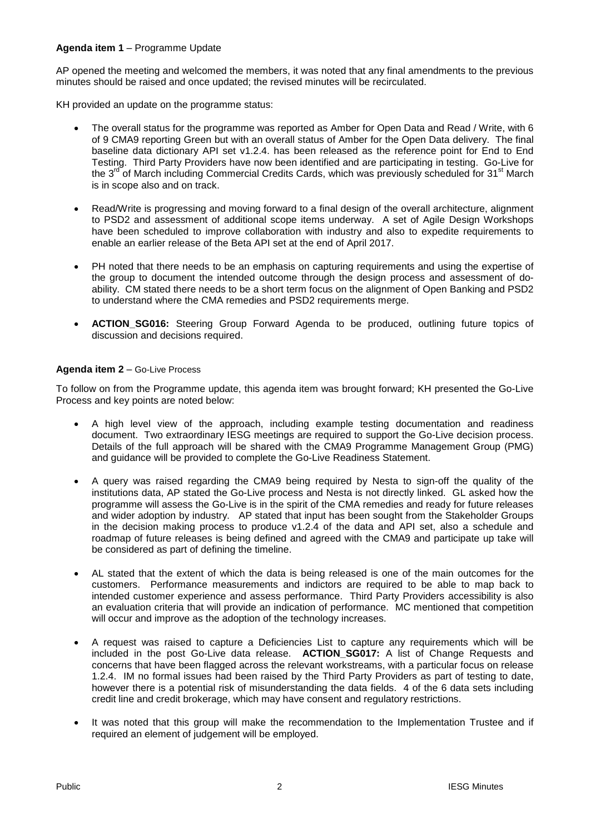### **Agenda item 1** – Programme Update

AP opened the meeting and welcomed the members, it was noted that any final amendments to the previous minutes should be raised and once updated; the revised minutes will be recirculated.

KH provided an update on the programme status:

- The overall status for the programme was reported as Amber for Open Data and Read / Write, with 6 of 9 CMA9 reporting Green but with an overall status of Amber for the Open Data delivery. The final baseline data dictionary API set v1.2.4. has been released as the reference point for End to End Testing. Third Party Providers have now been identified and are participating in testing. Go-Live for the 3<sup>rd</sup> of March including Commercial Credits Cards, which was previously scheduled for 31<sup>st</sup> March is in scope also and on track.
- Read/Write is progressing and moving forward to a final design of the overall architecture, alignment to PSD2 and assessment of additional scope items underway. A set of Agile Design Workshops have been scheduled to improve collaboration with industry and also to expedite requirements to enable an earlier release of the Beta API set at the end of April 2017.
- PH noted that there needs to be an emphasis on capturing requirements and using the expertise of the group to document the intended outcome through the design process and assessment of doability. CM stated there needs to be a short term focus on the alignment of Open Banking and PSD2 to understand where the CMA remedies and PSD2 requirements merge.
- **ACTION\_SG016:** Steering Group Forward Agenda to be produced, outlining future topics of discussion and decisions required.

#### **Agenda item 2** – Go-Live Process

To follow on from the Programme update, this agenda item was brought forward; KH presented the Go-Live Process and key points are noted below:

- A high level view of the approach, including example testing documentation and readiness document. Two extraordinary IESG meetings are required to support the Go-Live decision process. Details of the full approach will be shared with the CMA9 Programme Management Group (PMG) and guidance will be provided to complete the Go-Live Readiness Statement.
- A query was raised regarding the CMA9 being required by Nesta to sign-off the quality of the institutions data, AP stated the Go-Live process and Nesta is not directly linked. GL asked how the programme will assess the Go-Live is in the spirit of the CMA remedies and ready for future releases and wider adoption by industry. AP stated that input has been sought from the Stakeholder Groups in the decision making process to produce v1.2.4 of the data and API set, also a schedule and roadmap of future releases is being defined and agreed with the CMA9 and participate up take will be considered as part of defining the timeline.
- AL stated that the extent of which the data is being released is one of the main outcomes for the customers. Performance measurements and indictors are required to be able to map back to intended customer experience and assess performance. Third Party Providers accessibility is also an evaluation criteria that will provide an indication of performance. MC mentioned that competition will occur and improve as the adoption of the technology increases.
- A request was raised to capture a Deficiencies List to capture any requirements which will be included in the post Go-Live data release. **ACTION\_SG017:** A list of Change Requests and concerns that have been flagged across the relevant workstreams, with a particular focus on release 1.2.4. IM no formal issues had been raised by the Third Party Providers as part of testing to date, however there is a potential risk of misunderstanding the data fields. 4 of the 6 data sets including credit line and credit brokerage, which may have consent and regulatory restrictions.
- It was noted that this group will make the recommendation to the Implementation Trustee and if required an element of judgement will be employed.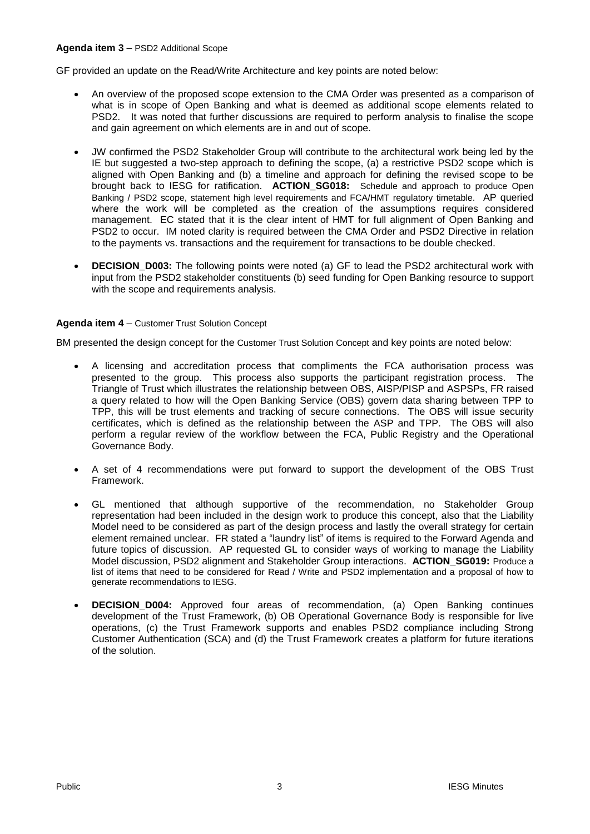#### **Agenda item 3** – PSD2 Additional Scope

GF provided an update on the Read/Write Architecture and key points are noted below:

- An overview of the proposed scope extension to the CMA Order was presented as a comparison of what is in scope of Open Banking and what is deemed as additional scope elements related to PSD2. It was noted that further discussions are required to perform analysis to finalise the scope and gain agreement on which elements are in and out of scope.
- JW confirmed the PSD2 Stakeholder Group will contribute to the architectural work being led by the IE but suggested a two-step approach to defining the scope, (a) a restrictive PSD2 scope which is aligned with Open Banking and (b) a timeline and approach for defining the revised scope to be brought back to IESG for ratification. **ACTION\_SG018:** Schedule and approach to produce Open Banking / PSD2 scope, statement high level requirements and FCA/HMT regulatory timetable. AP queried where the work will be completed as the creation of the assumptions requires considered management. EC stated that it is the clear intent of HMT for full alignment of Open Banking and PSD2 to occur. IM noted clarity is required between the CMA Order and PSD2 Directive in relation to the payments vs. transactions and the requirement for transactions to be double checked.
- **DECISION** D003: The following points were noted (a) GF to lead the PSD2 architectural work with input from the PSD2 stakeholder constituents (b) seed funding for Open Banking resource to support with the scope and requirements analysis.

#### **Agenda item 4** – Customer Trust Solution Concept

BM presented the design concept for the Customer Trust Solution Concept and key points are noted below:

- A licensing and accreditation process that compliments the FCA authorisation process was presented to the group. This process also supports the participant registration process. The Triangle of Trust which illustrates the relationship between OBS, AISP/PISP and ASPSPs, FR raised a query related to how will the Open Banking Service (OBS) govern data sharing between TPP to TPP, this will be trust elements and tracking of secure connections. The OBS will issue security certificates, which is defined as the relationship between the ASP and TPP. The OBS will also perform a regular review of the workflow between the FCA, Public Registry and the Operational Governance Body.
- A set of 4 recommendations were put forward to support the development of the OBS Trust Framework.
- GL mentioned that although supportive of the recommendation, no Stakeholder Group representation had been included in the design work to produce this concept, also that the Liability Model need to be considered as part of the design process and lastly the overall strategy for certain element remained unclear. FR stated a "laundry list" of items is required to the Forward Agenda and future topics of discussion. AP requested GL to consider ways of working to manage the Liability Model discussion, PSD2 alignment and Stakeholder Group interactions. **ACTION\_SG019:** Produce a list of items that need to be considered for Read / Write and PSD2 implementation and a proposal of how to generate recommendations to IESG.
- **DECISION D004:** Approved four areas of recommendation, (a) Open Banking continues development of the Trust Framework, (b) OB Operational Governance Body is responsible for live operations, (c) the Trust Framework supports and enables PSD2 compliance including Strong Customer Authentication (SCA) and (d) the Trust Framework creates a platform for future iterations of the solution.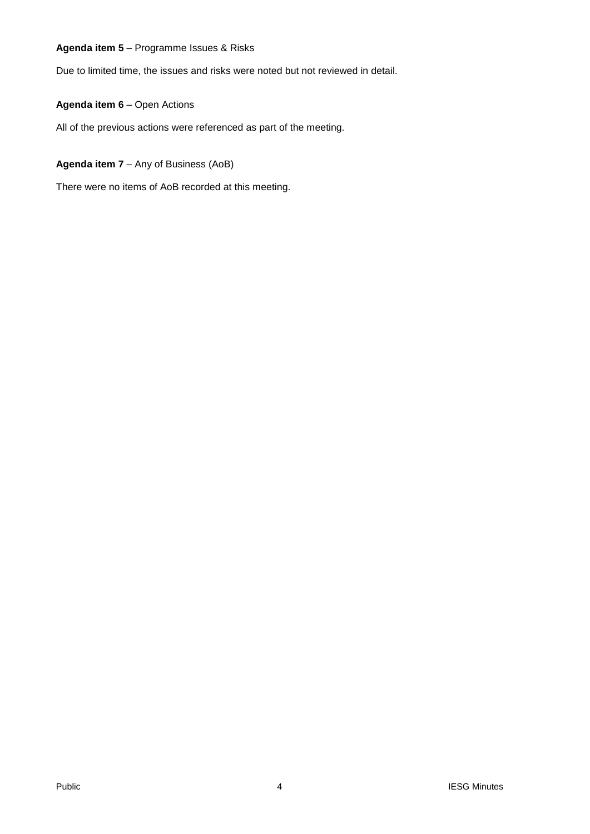## **Agenda item 5** – Programme Issues & Risks

Due to limited time, the issues and risks were noted but not reviewed in detail.

## **Agenda item 6** – Open Actions

All of the previous actions were referenced as part of the meeting.

# **Agenda item 7** – Any of Business (AoB)

There were no items of AoB recorded at this meeting.